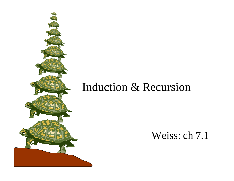# Induction & Recursion

#### Weiss: ch 7.1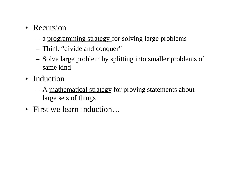- Recursion
	- a programming strategy for solving large problems
	- Think "divide and conquer"
	- Solve large problem by splitting into smaller problems of same kind
- Induction
	- A mathematical strategy for proving statements about large sets of things
- First we learn induction…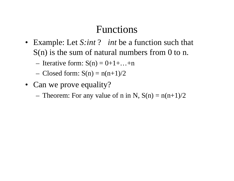#### Functions

- Example: Let *S:int* ? *int* be a function such that S(n) is the sum of natural numbers from 0 to n.
	- Iterative form:  $S(n) = 0+1+\dots+n$
	- Closed form:  $S(n) = n(n+1)/2$
- Can we prove equality?
	- Theorem: For any value of n in N,  $S(n) = n(n+1)/2$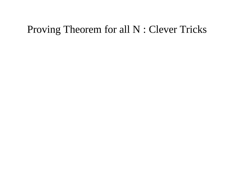### Proving Theorem for all N : Clever Tricks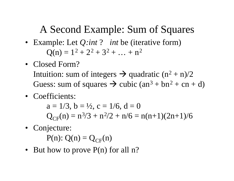## A Second Example: Sum of Squares

- Example: Let *Q:int* ? *int* be (iterative form)  $Q(n) = 1^2 + 2^2 + 3^2 + ... + n^2$
- Closed Form? Intuition: sum of integers  $\rightarrow$  quadratic (n<sup>2</sup> + n)/2 Guess: sum of squares  $\rightarrow$  cubic (an<sup>3</sup> + bn<sup>2</sup> + cn + d)
- Coefficients:

 $a = 1/3$ ,  $b = \frac{1}{2}$ ,  $c = \frac{1}{6}$ ,  $d = 0$  $Q_{CF}(n) = n^3/3 + n^2/2 + n/6 = n(n+1)(2n+1)/6$ 

- Conjecture:  $P(n)$ :  $Q(n) = Q_{CF}(n)$
- But how to prove  $P(n)$  for all n?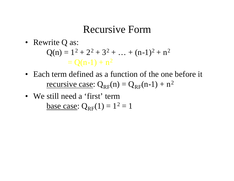#### Recursive Form

- Rewrite Q as:  $Q(n) = 1^2 + 2^2 + 3^2 + ... + (n-1)^2 + n^2$  $= O(n-1) + n^2$
- Each term defined as a function of the one before it <u>recursive case</u>:  $Q_{RF}(n) = Q_{RF}(n-1) + n^2$
- We still need a 'first' term base case:  $Q_{RF}(1) = 1^2 = 1$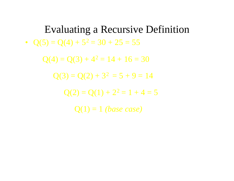Evaluating a Recursive Definition •  $Q(5) = Q(4) + 5^2 = 30 + 25 = 55$ 

 $Q(4) = Q(3) + 4^2 = 14 + 16 = 30$  $Q(3) = Q(2) + 3^2 = 5 + 9 = 14$ 

 $Q(2) = Q(1) + 2^2 = 1 + 4 = 5$ 

Q(1) = 1 *(base case)*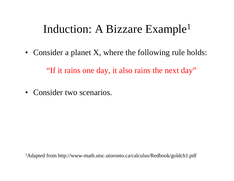# Induction: A Bizzare Example<sup>1</sup>

• Consider a planet X, where the following rule holds:

"If it rains one day, it also rains the next day"

• Consider two scenarios.

1Adapted from http://www-math.utsc.utoronto.ca/calculus/Redbook/goldch1.pdf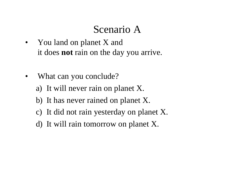### Scenario A

- You land on planet X and it does **not** rain on the day you arrive.
- What can you conclude? a) It will never rain on planet X.
	- b) It has never rained on planet X.
	- c) It did not rain yesterday on planet X.
	- d) It will rain tomorrow on planet X.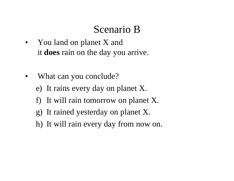### Scenario B

- You land on planet X and it **does** rain on the day you arrive.
- What can you conclude?
	- e) It rains every day on planet X.
	- f) It will rain tomorrow on planet X.
	- g) It rained yesterday on planet X.
	- h) It will rain every day from now on.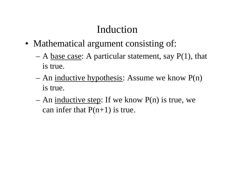# Induction

- Mathematical argument consisting of:
	- A base case: A particular statement, say  $P(1)$ , that is true.
	- An <u>inductive hypothesis</u>: Assume we know  $P(n)$ is true.
	- An inductive step: If we know  $P(n)$  is true, we can infer that  $P(n+1)$  is true.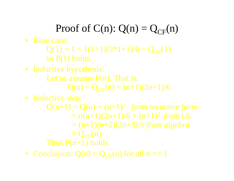# Proof of  $C(n)$ :  $Q(n) = Q_{CF}(n)$

- Base case:
	- $Q(1) = 1 = 1(1+1)(2*1+1)/6 = Q_{CF}(1)$ so P(1) holds.
- Inductive hypothesis:
	- Let us assume  $P(n)$ . That is,
		- $Q(n) = Q_{CF}(n) = (n+1)(2n+1)/6$
- Inductive step:
	- $Q(n+1) = Q(n) + (n+1)^2$  *from recursive form*  $= n(n+1)(2n+1)/6 + (n+1)^2$  from *i.h.* = (n+1)(n+2)(2n+3)/6 *from algebra*  $= Q_{CF}(n)$ Thus  $P(n+1)$  holds.
- Conclusion:  $Q(n) = Q_{CF}(n)$  for all  $n \ge 1$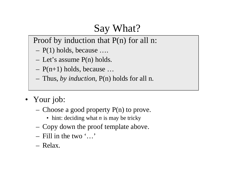# Say What?

Proof by induction that P(n) for all n:

- P(1) holds, because ….
- Let's assume P(n) holds.
- $P(n+1)$  holds, because ...
- Thus, *by induction*, P(n) holds for all n.
- Your job:
	- Choose a good property  $P(n)$  to prove.
		- hint: deciding what *n* is may be tricky
	- Copy down the proof template above.
	- Fill in the two '…'
	- Relax.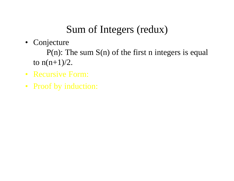# Sum of Integers (redux)

• Conjecture

 $P(n)$ : The sum  $S(n)$  of the first n integers is equal to  $n(n+1)/2$ .

- Recursive Form:
- Proof by induction: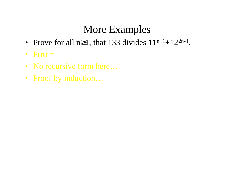# More Examples

- Prove for all  $n\geq 1$ , that 133 divides  $11^{n+1}+12^{2n-1}$ .
- $P(n) =$
- No recursive form here...
- Proof by induction...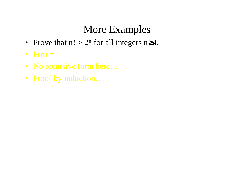# More Examples

- Prove that  $n! > 2^n$  for all integers  $n \geq 4$ .
- $P(n) =$
- No recursive form here...
- Proof by induction...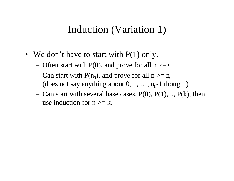## Induction (Variation 1)

- We don't have to start with  $P(1)$  only.
	- Often start with  $P(0)$ , and prove for all  $n \ge 0$
	- Can start with  $P(n_0)$ , and prove for all  $n >= n_0$ (does not say anything about  $0, 1, ..., n_0-1$  though!)
	- Can start with several base cases,  $P(0)$ ,  $P(1)$ , ..,  $P(k)$ , then use induction for  $n \geq k$ .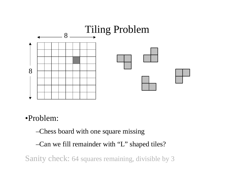

#### •Problem:

–Chess board with one square missing

–Can we fill remainder with "L" shaped tiles?

Sanity check: 64 squares remaining, divisible by 3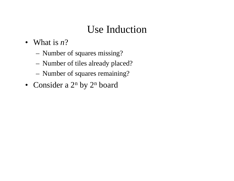# Use Induction

- What is *n*?
	- Number of squares missing?
	- Number of tiles already placed?
	- Number of squares remaining?
- Consider a  $2^n$  by  $2^n$  board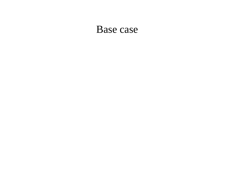#### Base case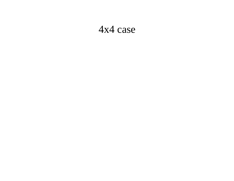#### 4x4 case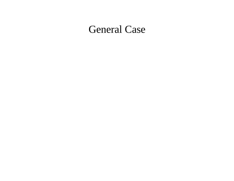#### General Case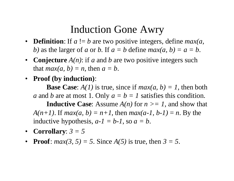#### Induction Gone Awry

- **Definition**: If  $a := b$  are two positive integers, define *max(a, b*) as the larger of *a* or *b*. If  $a = b$  define  $max(a, b) = a = b$ .
- **Conjecture** *A(n)*: if *a* and *b* are two positive integers such that  $max(a, b) = n$ , then  $a = b$ .
- **Proof (by induction)**:

**Base Case:**  $A(1)$  is true, since if  $max(a, b) = 1$ , then both *a* and *b* are at most 1. Only  $a = b = 1$  satisfies this condition. **Inductive Case:** Assume  $A(n)$  for  $n \geq 1$ , and show that *A(n+1)*. If *max(a, b)* =  $n+1$ , then *max(a-1, b-1)* =  $n$ . By the inductive hypothesis,  $a-I = b-I$ , so  $a = b$ .

- **Corrollary**:  $3 = 5$
- **Proof**:  $max(3, 5) = 5$ . Since  $A(5)$  is true, then  $3 = 5$ .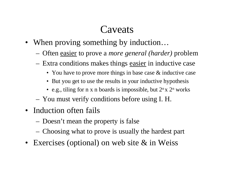#### Caveats

- When proving something by induction...
	- Often easier to prove a *more general (harder)* problem
	- Extra conditions makes things easier in inductive case
		- You have to prove more things in base case & inductive case
		- But you get to use the results in your inductive hypothesis
		- e.g., tiling for n x n boards is impossible, but  $2<sup>n</sup>$  x  $2<sup>n</sup>$  works
	- You must verify conditions before using I. H.
- Induction often fails
	- Doesn't mean the property is false
	- Choosing what to prove is usually the hardest part
- Exercises (optional) on web site & in Weiss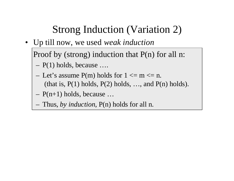# Strong Induction (Variation 2)

• Up till now, we used *weak induction*

Proof by (strong) induction that P(n) for all n:

- P(1) holds, because ….
- Let's assume  $P(m)$  holds for  $1 \le m \le n$ . (that is,  $P(1)$  holds,  $P(2)$  holds, ..., and  $P(n)$  holds).
- $P(n+1)$  holds, because ...
- Thus, *by induction*, P(n) holds for all n.